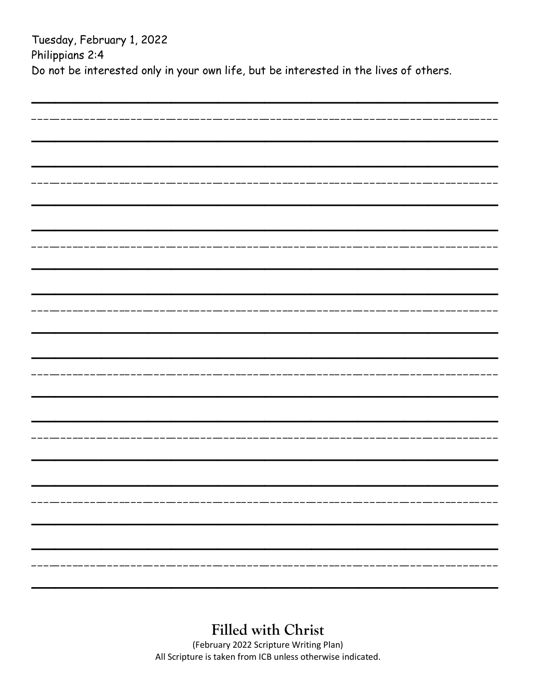Tuesday, February 1, 2022 Philippians 2:4 Do not be interested only in your own life, but be interested in the lives of others.

| _______________ |  |
|-----------------|--|
|                 |  |
|                 |  |
|                 |  |
|                 |  |
|                 |  |
|                 |  |
|                 |  |
|                 |  |
|                 |  |
|                 |  |
|                 |  |
|                 |  |
| ------------    |  |
|                 |  |
|                 |  |
|                 |  |
|                 |  |
|                 |  |
|                 |  |
|                 |  |
|                 |  |
|                 |  |
|                 |  |
|                 |  |
|                 |  |
|                 |  |
|                 |  |
|                 |  |
|                 |  |
|                 |  |
|                 |  |
|                 |  |
|                 |  |
|                 |  |
|                 |  |
|                 |  |
|                 |  |
|                 |  |
|                 |  |
|                 |  |
|                 |  |
|                 |  |
|                 |  |

**Filled with Christ**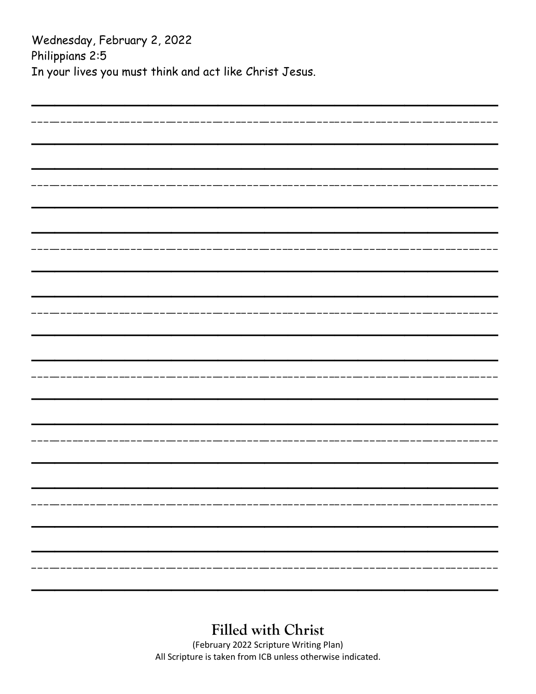Wednesday, February 2, 2022 Philippians 2:5 In your lives you must think and act like Christ Jesus.

| ______________________ |
|------------------------|
|                        |
|                        |
|                        |
|                        |
|                        |
|                        |
|                        |
|                        |
|                        |
|                        |
|                        |
|                        |
|                        |
|                        |
|                        |
|                        |
|                        |
|                        |
|                        |
|                        |
|                        |
|                        |
|                        |
|                        |
|                        |
|                        |
|                        |
|                        |
|                        |
|                        |
|                        |
|                        |
|                        |
|                        |
|                        |
|                        |
|                        |
|                        |
|                        |
|                        |
|                        |
|                        |
|                        |
|                        |
|                        |
|                        |
|                        |
|                        |
|                        |
|                        |
|                        |
|                        |

#### **Filled with Christ**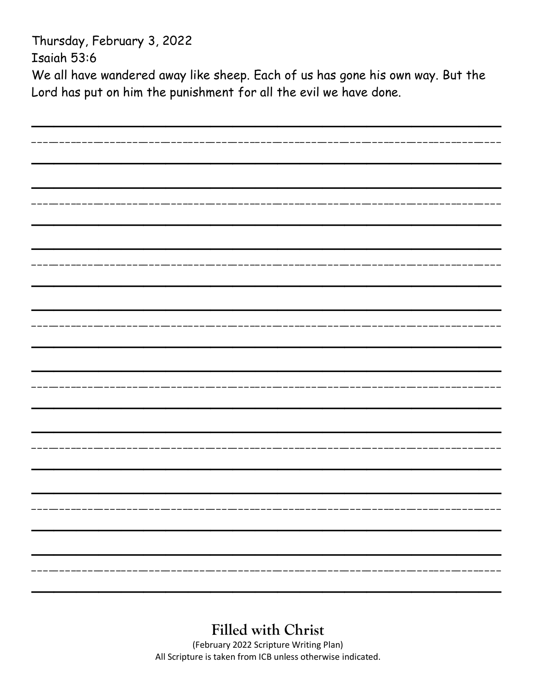Thursday, February 3, 2022 Isaiah 53:6 We all have wandered away like sheep. Each of us has gone his own way. But the Lord has put on him the punishment for all the evil we have done.

| -------------------- |
|----------------------|
|                      |
|                      |
|                      |
|                      |
|                      |
|                      |
|                      |
|                      |
|                      |
|                      |
|                      |
|                      |
|                      |
|                      |
|                      |
|                      |
|                      |
|                      |
|                      |
|                      |
|                      |
|                      |
|                      |
|                      |
|                      |
|                      |
|                      |
|                      |
|                      |
| ------------         |
|                      |
|                      |
|                      |
|                      |
|                      |
|                      |
| --------             |
|                      |
|                      |
|                      |
|                      |
|                      |
|                      |
|                      |
|                      |
|                      |
|                      |
|                      |
|                      |

### **Filled with Christ**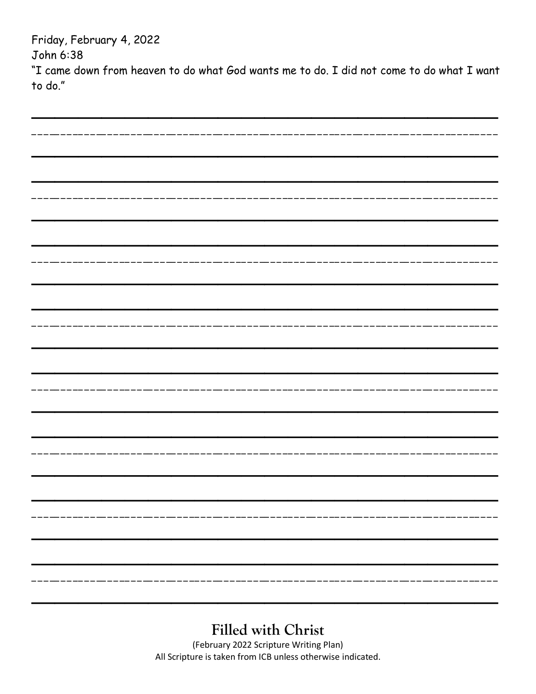Friday, February 4, 2022 John 6:38 "I came down from heaven to do what God wants me to do. I did not come to do what I want to do."  $- - - - - - -$ \_\_\_\_\_\_\_ \_\_\_\_\_\_\_\_ ———<br>————<br>——— ———<br>————<br>——— 

#### **Filled with Christ**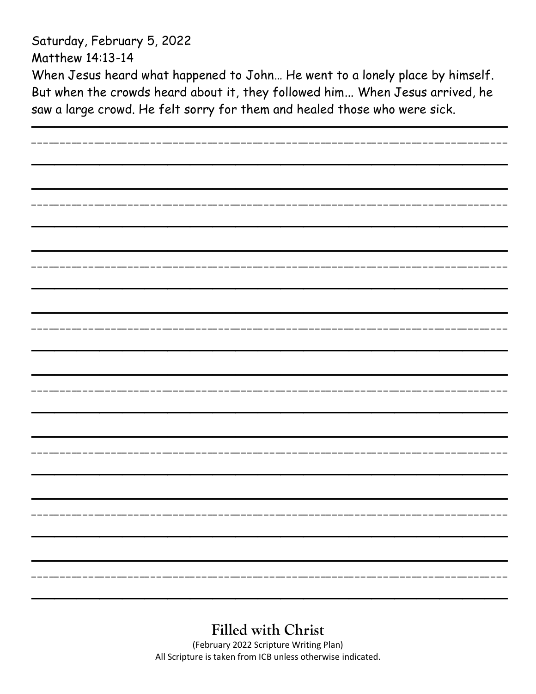Saturday, February 5, 2022 Matthew 14:13-14 When Jesus heard what happened to John… He went to a lonely place by himself. But when the crowds heard about it, they followed him... When Jesus arrived, he saw a large crowd. He felt sorry for them and healed those who were sick.

| __________________      |  |
|-------------------------|--|
|                         |  |
|                         |  |
|                         |  |
|                         |  |
|                         |  |
|                         |  |
|                         |  |
| --------------------    |  |
|                         |  |
|                         |  |
|                         |  |
|                         |  |
|                         |  |
|                         |  |
|                         |  |
| --------------------    |  |
|                         |  |
|                         |  |
|                         |  |
|                         |  |
|                         |  |
|                         |  |
|                         |  |
| ----------------------- |  |
|                         |  |
|                         |  |
|                         |  |
|                         |  |
|                         |  |
|                         |  |
|                         |  |
|                         |  |
|                         |  |
|                         |  |
|                         |  |
|                         |  |
|                         |  |
|                         |  |
|                         |  |
|                         |  |
|                         |  |
|                         |  |
|                         |  |
|                         |  |
|                         |  |
|                         |  |
| ----------------        |  |
|                         |  |
|                         |  |
|                         |  |
|                         |  |

# **Filled with Christ**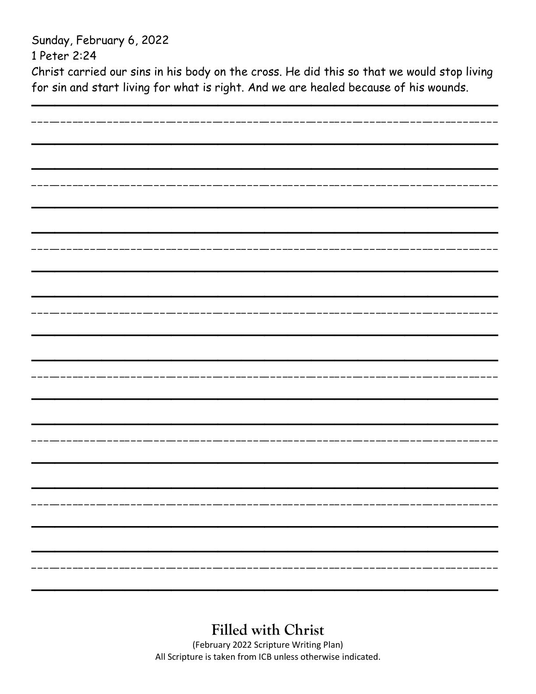Sunday, February 6, 2022 1 Peter 2:24 Christ carried our sins in his body on the cross. He did this so that we would stop living for sin and start living for what is right. And we are healed because of his wounds.

| ____________________ |  |
|----------------------|--|
|                      |  |
|                      |  |
|                      |  |
|                      |  |
|                      |  |
|                      |  |
|                      |  |
|                      |  |
|                      |  |
|                      |  |
|                      |  |
|                      |  |
|                      |  |
|                      |  |
|                      |  |
|                      |  |
|                      |  |
|                      |  |
|                      |  |
|                      |  |
|                      |  |
|                      |  |
|                      |  |
|                      |  |
|                      |  |
|                      |  |
|                      |  |
|                      |  |
|                      |  |
|                      |  |
|                      |  |
|                      |  |
|                      |  |
|                      |  |
|                      |  |
|                      |  |
|                      |  |
|                      |  |
|                      |  |
|                      |  |
|                      |  |
|                      |  |
|                      |  |
|                      |  |
|                      |  |
|                      |  |
|                      |  |
|                      |  |
|                      |  |
|                      |  |
|                      |  |
|                      |  |

**Filled with Christ**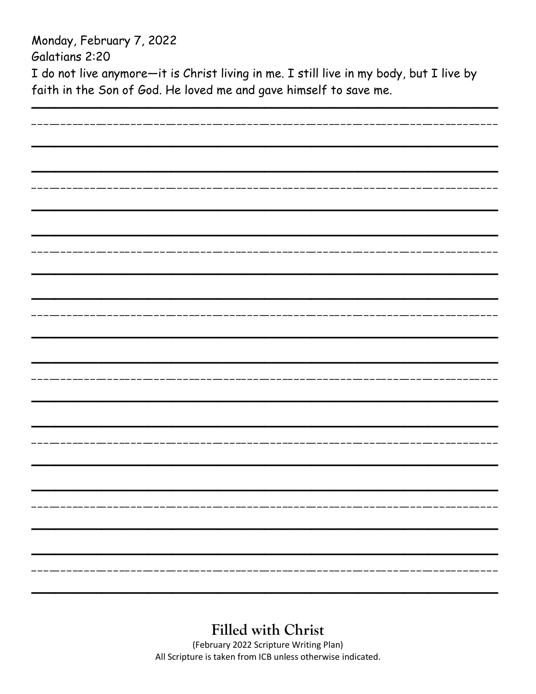Monday, February 7, 2022 Galatians 2:20 I do not live anymore—it is Christ living in me. I still live in my body, but I live by faith in the Son of God. He loved me and gave himself to save me.

**Filled with Christ**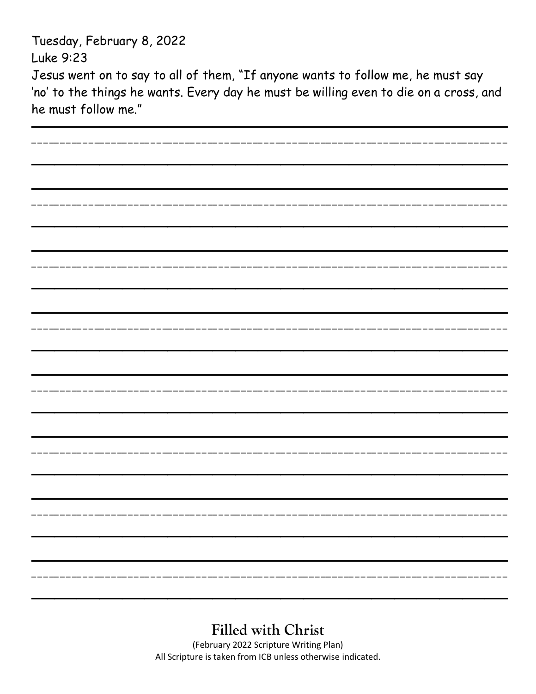Tuesday, February 8, 2022

Luke 9:23

Jesus went on to say to all of them, "If anyone wants to follow me, he must say 'no' to the things he wants. Every day he must be willing even to die on a cross, and he must follow me."

| ---------------      |  |
|----------------------|--|
|                      |  |
|                      |  |
|                      |  |
|                      |  |
|                      |  |
|                      |  |
|                      |  |
| _________________    |  |
|                      |  |
|                      |  |
|                      |  |
|                      |  |
|                      |  |
|                      |  |
| -----------------    |  |
|                      |  |
|                      |  |
|                      |  |
|                      |  |
|                      |  |
|                      |  |
|                      |  |
| ----------------     |  |
|                      |  |
|                      |  |
|                      |  |
|                      |  |
|                      |  |
|                      |  |
|                      |  |
|                      |  |
|                      |  |
|                      |  |
|                      |  |
|                      |  |
|                      |  |
|                      |  |
|                      |  |
|                      |  |
|                      |  |
|                      |  |
|                      |  |
|                      |  |
|                      |  |
|                      |  |
| -------------------- |  |
|                      |  |
|                      |  |
|                      |  |
|                      |  |

# **Filled with Christ**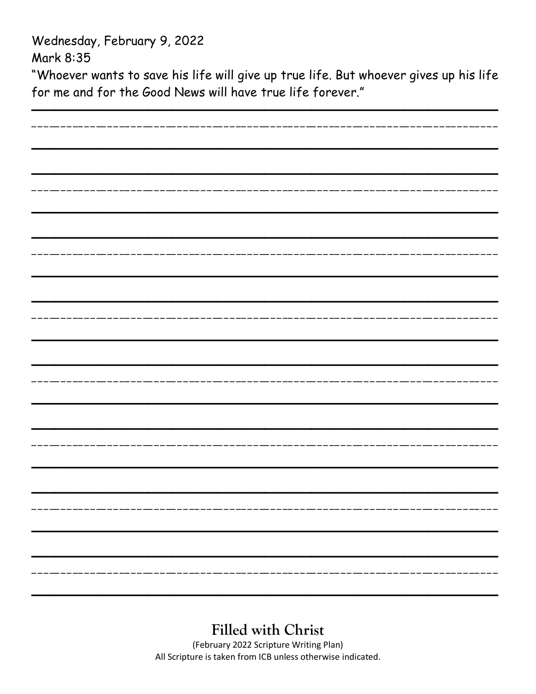Wednesday, February 9, 2022

Mark 8:35

"Whoever wants to save his life will give up true life. But whoever gives up his life for me and for the Good News will have true life forever."

| ------------ |
|--------------|
|              |
|              |
|              |
|              |
|              |
|              |
|              |
|              |
|              |
|              |
|              |
|              |
|              |
|              |
|              |
|              |
|              |
|              |
|              |
|              |
|              |
|              |
|              |
|              |
|              |
|              |
|              |
|              |
|              |
|              |
|              |
|              |
|              |
|              |
|              |
|              |
|              |
|              |
|              |
|              |
|              |
|              |
|              |
|              |
|              |
|              |
|              |
|              |
|              |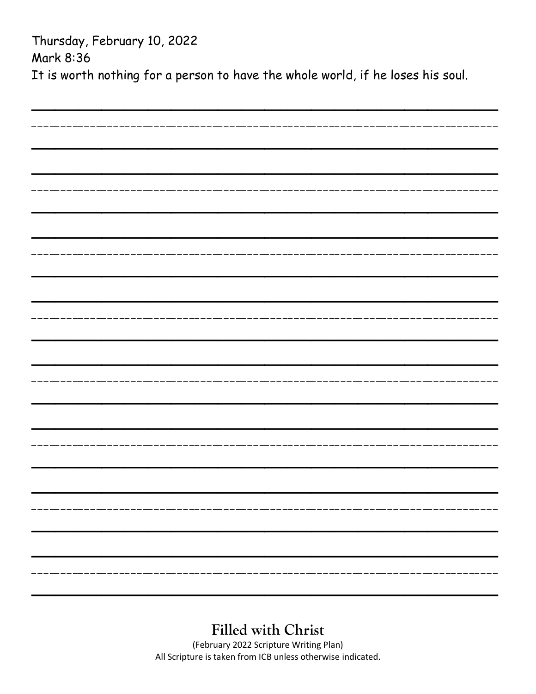Thursday, February 10, 2022 Mark 8:36 It is worth nothing for a person to have the whole world, if he loses his soul.

## **Filled with Christ**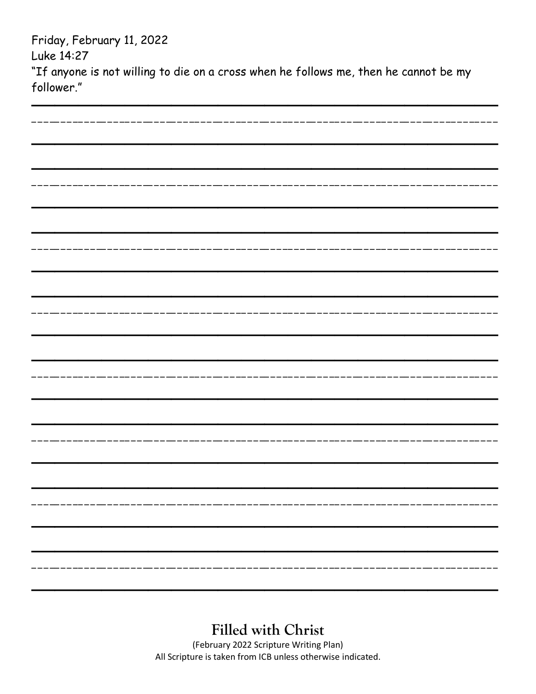Friday, February 11, 2022 Luke 14:27 "If anyone is not willing to die on a cross when he follows me, then he cannot be my

follower."

**Filled with Christ**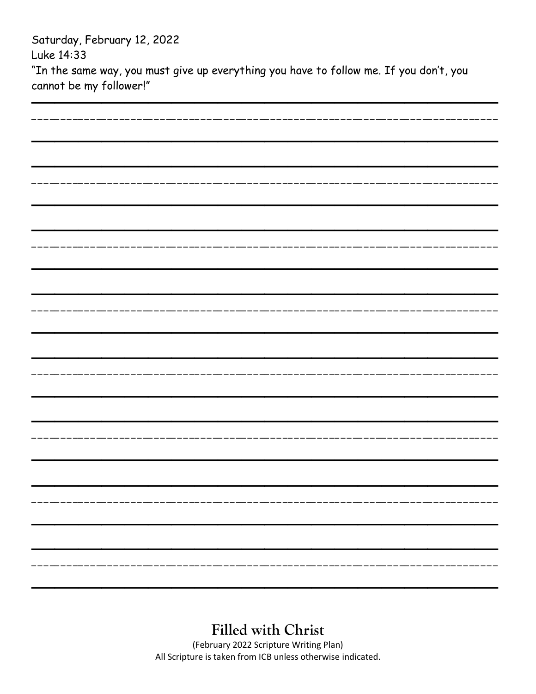| Saturday, February 12, 2022                                                            |
|----------------------------------------------------------------------------------------|
| Luke 14:33                                                                             |
| "In the same way, you must give up everything you have to follow me. If you don't, you |
| cannot be my follower!"                                                                |

| ------------------------            |  |
|-------------------------------------|--|
|                                     |  |
|                                     |  |
|                                     |  |
|                                     |  |
|                                     |  |
|                                     |  |
|                                     |  |
|                                     |  |
|                                     |  |
|                                     |  |
|                                     |  |
|                                     |  |
|                                     |  |
|                                     |  |
|                                     |  |
|                                     |  |
| . _ _ __ _ _ _ __ _ _ _ _ _ _ _ _ _ |  |
|                                     |  |
|                                     |  |
|                                     |  |
|                                     |  |
|                                     |  |
|                                     |  |
|                                     |  |
| ----------------                    |  |
|                                     |  |
|                                     |  |
|                                     |  |
|                                     |  |
|                                     |  |
|                                     |  |
|                                     |  |
| --------------------                |  |
|                                     |  |
|                                     |  |
|                                     |  |
|                                     |  |
|                                     |  |
|                                     |  |
|                                     |  |
|                                     |  |
|                                     |  |
|                                     |  |
|                                     |  |
|                                     |  |
|                                     |  |
|                                     |  |
|                                     |  |
|                                     |  |
|                                     |  |
|                                     |  |
|                                     |  |
|                                     |  |
|                                     |  |

**Filled with Christ**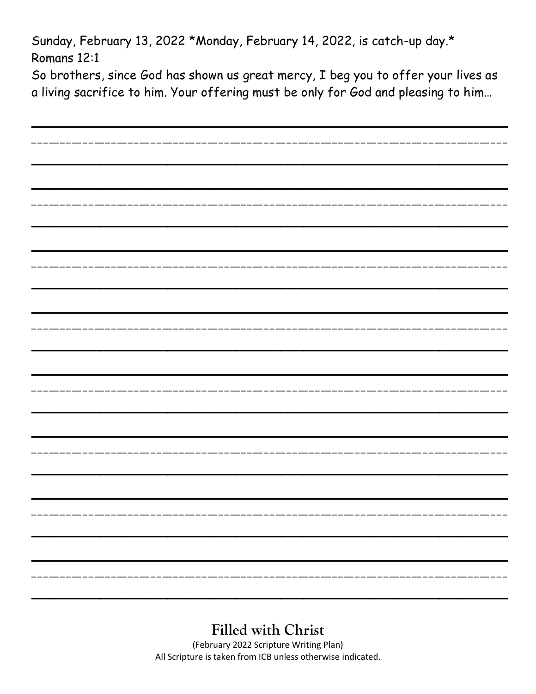Sunday, February 13, 2022 \*Monday, February 14, 2022, is catch-up day.\* Romans 12:1

So brothers, since God has shown us great mercy, I beg you to offer your lives as a living sacrifice to him. Your offering must be only for God and pleasing to him…

| -------------                                                           |
|-------------------------------------------------------------------------|
|                                                                         |
|                                                                         |
|                                                                         |
|                                                                         |
|                                                                         |
|                                                                         |
| ____________                                                            |
|                                                                         |
|                                                                         |
|                                                                         |
|                                                                         |
|                                                                         |
|                                                                         |
|                                                                         |
| ___________________                                                     |
|                                                                         |
|                                                                         |
|                                                                         |
|                                                                         |
|                                                                         |
|                                                                         |
|                                                                         |
|                                                                         |
|                                                                         |
|                                                                         |
|                                                                         |
|                                                                         |
|                                                                         |
|                                                                         |
|                                                                         |
|                                                                         |
|                                                                         |
|                                                                         |
|                                                                         |
|                                                                         |
|                                                                         |
| -------------------------------<br>____________________________________ |
|                                                                         |
|                                                                         |
|                                                                         |
|                                                                         |

# **Filled with Christ**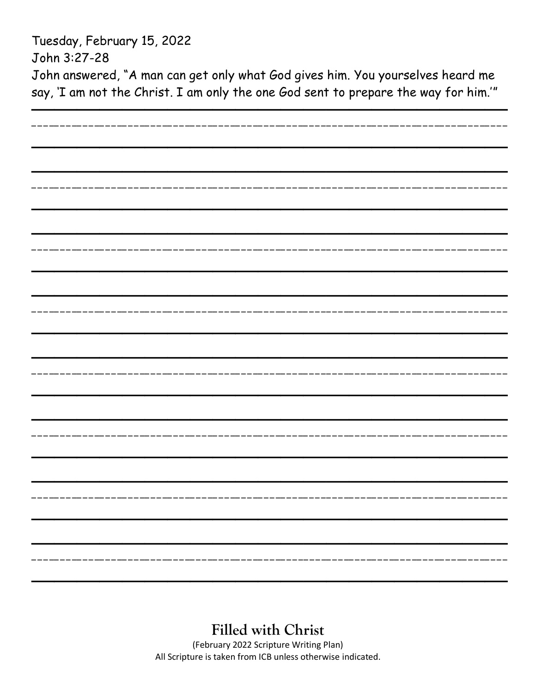Tuesday, February 15, 2022 John 3:27-28 John answered, "A man can get only what God gives him. You yourselves heard me say, 'I am not the Christ. I am only the one God sent to prepare the way for him.'"

| ______________       |  |
|----------------------|--|
|                      |  |
|                      |  |
|                      |  |
|                      |  |
|                      |  |
|                      |  |
| -------------------- |  |
|                      |  |
|                      |  |
|                      |  |
|                      |  |
|                      |  |
|                      |  |
|                      |  |
|                      |  |
|                      |  |
|                      |  |
|                      |  |
|                      |  |
|                      |  |
|                      |  |
|                      |  |
|                      |  |
|                      |  |
|                      |  |
|                      |  |
|                      |  |
|                      |  |
|                      |  |
|                      |  |
|                      |  |
|                      |  |
|                      |  |
|                      |  |
|                      |  |
|                      |  |
|                      |  |
|                      |  |
|                      |  |
|                      |  |
|                      |  |
|                      |  |
|                      |  |
|                      |  |
|                      |  |
|                      |  |
|                      |  |

### **Filled with Christ**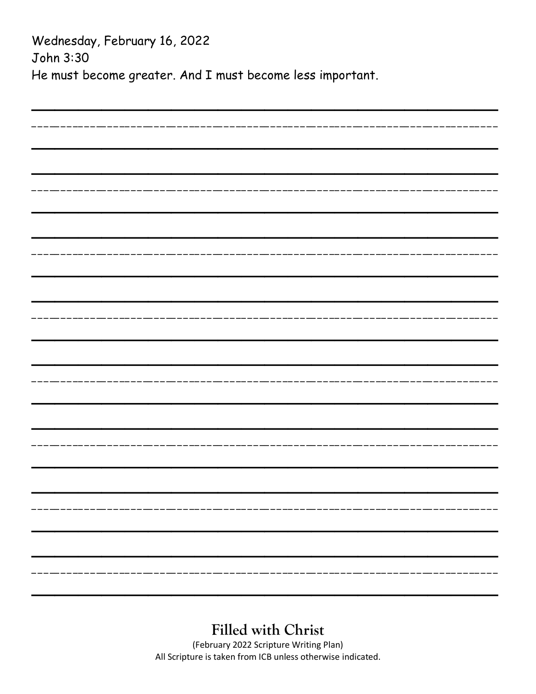Wednesday, February 16, 2022 John 3:30 He must become greater. And I must become less important.

| ------------------- |  |
|---------------------|--|
|                     |  |
|                     |  |
|                     |  |
|                     |  |
|                     |  |
|                     |  |
|                     |  |
|                     |  |
|                     |  |
|                     |  |
|                     |  |
|                     |  |
|                     |  |
|                     |  |
|                     |  |
|                     |  |
|                     |  |
|                     |  |
|                     |  |
|                     |  |
|                     |  |
|                     |  |
|                     |  |
|                     |  |
|                     |  |
|                     |  |
|                     |  |
|                     |  |
|                     |  |
|                     |  |
|                     |  |
|                     |  |
|                     |  |
|                     |  |
|                     |  |
|                     |  |
|                     |  |
|                     |  |
|                     |  |
|                     |  |
|                     |  |
|                     |  |
|                     |  |
|                     |  |
|                     |  |
|                     |  |
|                     |  |
|                     |  |
|                     |  |
|                     |  |
|                     |  |
|                     |  |

### **Filled with Christ**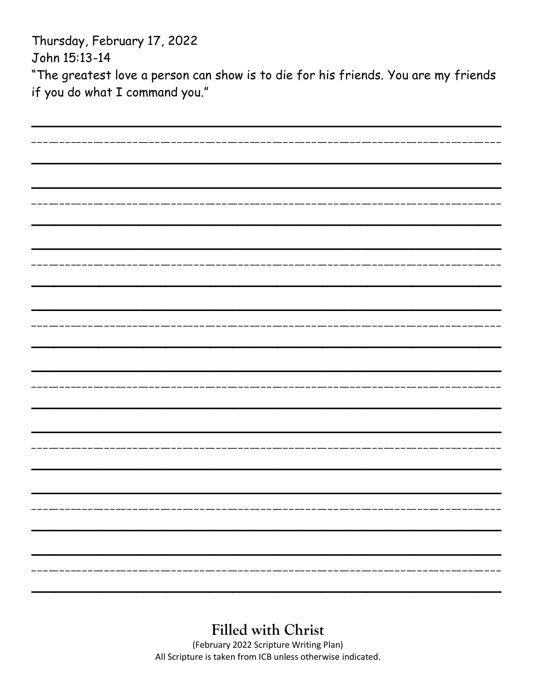Thursday, February 17, 2022 John 15:13-14

"The greatest love a person can show is to die for his friends. You are my friends if you do what I command you."

| ------------------- |  |
|---------------------|--|
|                     |  |
|                     |  |
|                     |  |
|                     |  |
|                     |  |
|                     |  |
| --------------      |  |
|                     |  |
|                     |  |
|                     |  |
|                     |  |
|                     |  |
|                     |  |
|                     |  |
|                     |  |
|                     |  |
|                     |  |
|                     |  |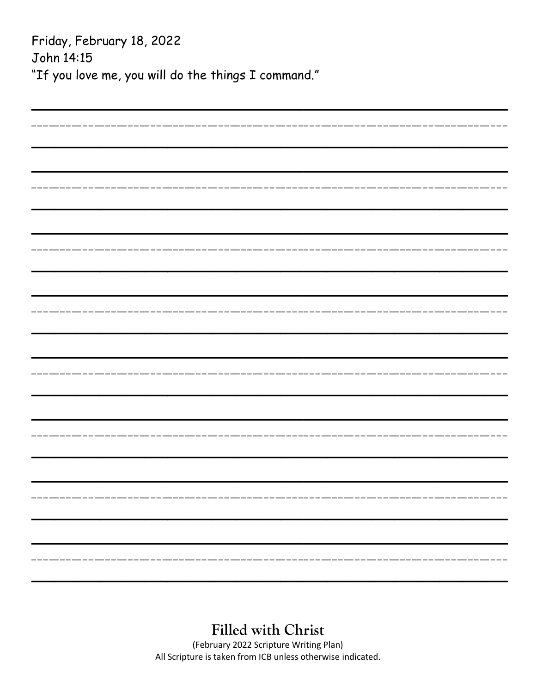| Friday, February 18, 2022                           |
|-----------------------------------------------------|
| John 14:15                                          |
| "If you love me, you will do the things I command." |
|                                                     |
|                                                     |
|                                                     |
|                                                     |
|                                                     |
|                                                     |
|                                                     |
|                                                     |
|                                                     |
|                                                     |
|                                                     |
|                                                     |
|                                                     |
|                                                     |
|                                                     |
|                                                     |
|                                                     |
|                                                     |
|                                                     |
|                                                     |
|                                                     |
|                                                     |
|                                                     |
|                                                     |
|                                                     |
|                                                     |
|                                                     |
|                                                     |
|                                                     |
|                                                     |

### **Filled with Christ**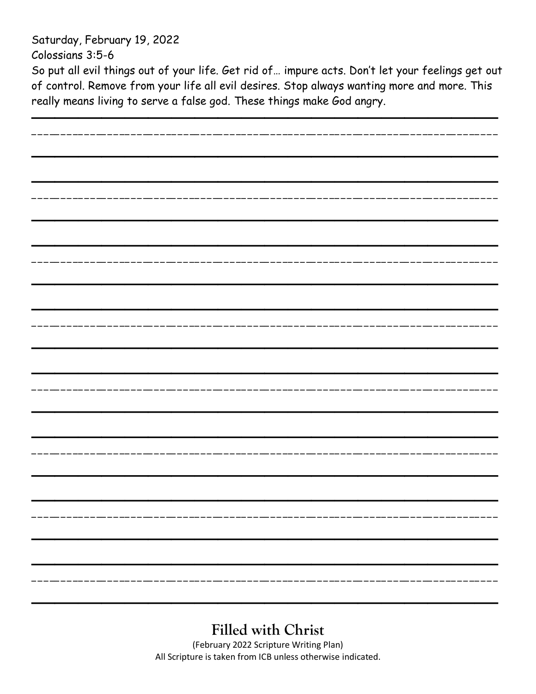Saturday, February 19, 2022

Colossians 3:5-6

So put all evil things out of your life. Get rid of… impure acts. Don't let your feelings get out of control. Remove from your life all evil desires. Stop always wanting more and more. This really means living to serve a false god. These things make God angry.

| ------------------------------ |
|--------------------------------|
|                                |
|                                |
|                                |
|                                |
|                                |
|                                |
|                                |
|                                |
|                                |
|                                |
|                                |
|                                |
|                                |
|                                |
|                                |
|                                |
|                                |
|                                |
|                                |
|                                |
|                                |
|                                |
|                                |
|                                |
|                                |
|                                |
|                                |
|                                |
|                                |
|                                |
|                                |
|                                |
|                                |
|                                |
|                                |
|                                |
|                                |
|                                |
|                                |
|                                |
|                                |
|                                |
|                                |
|                                |
|                                |
|                                |
|                                |
|                                |

## **Filled with Christ**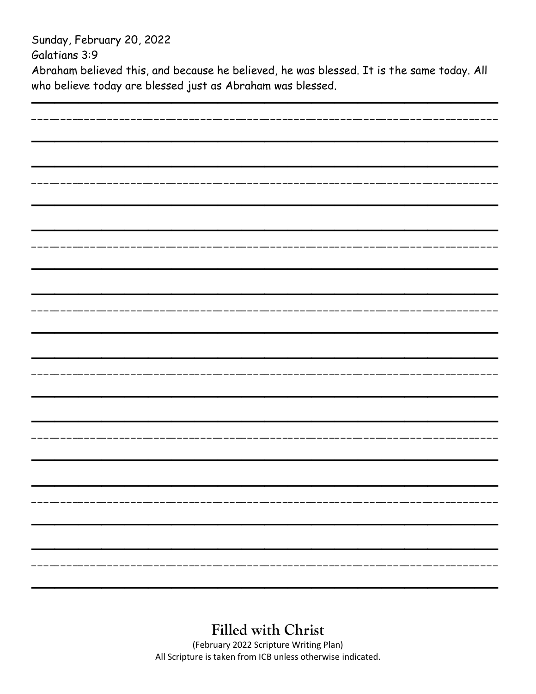Sunday, February 20, 2022

Galatians 3:9

Abraham believed this, and because he believed, he was blessed. It is the same today. All who believe today are blessed just as Abraham was blessed.

| ______________________              |  |
|-------------------------------------|--|
|                                     |  |
|                                     |  |
|                                     |  |
|                                     |  |
|                                     |  |
|                                     |  |
|                                     |  |
|                                     |  |
|                                     |  |
|                                     |  |
|                                     |  |
|                                     |  |
|                                     |  |
|                                     |  |
| . _ _ __ _ _ _ __ _ _ _ _ _ _ _ _ _ |  |
|                                     |  |
|                                     |  |
|                                     |  |
|                                     |  |
|                                     |  |
|                                     |  |
|                                     |  |
|                                     |  |
|                                     |  |
|                                     |  |
|                                     |  |
|                                     |  |
|                                     |  |
|                                     |  |
|                                     |  |
|                                     |  |
|                                     |  |
|                                     |  |
|                                     |  |
|                                     |  |
|                                     |  |
|                                     |  |
|                                     |  |
|                                     |  |
|                                     |  |
|                                     |  |
|                                     |  |
|                                     |  |
|                                     |  |
|                                     |  |
|                                     |  |
|                                     |  |

**Filled with Christ**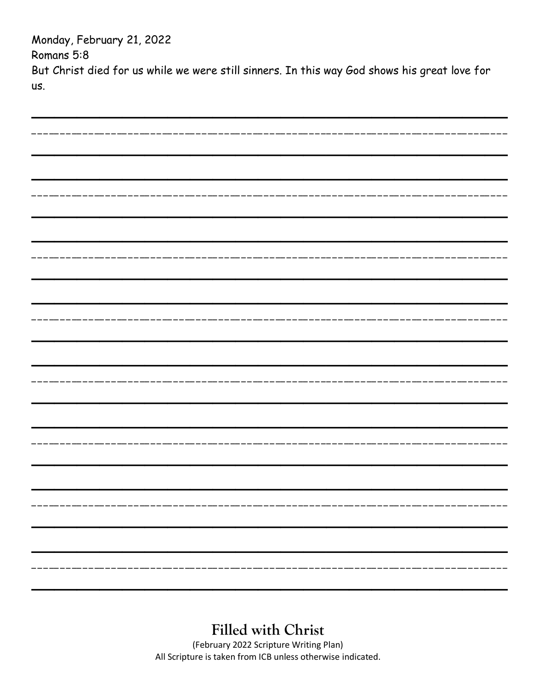Monday, February 21, 2022 Romans 5:8 But Christ died for us while we were still sinners. In this way God shows his great love for us.

| _____________                  |  |
|--------------------------------|--|
|                                |  |
|                                |  |
|                                |  |
|                                |  |
|                                |  |
|                                |  |
| - - - -- - - - - - - - - - - - |  |
|                                |  |
|                                |  |
|                                |  |
|                                |  |
|                                |  |
|                                |  |
| ___________________________    |  |
|                                |  |
|                                |  |
|                                |  |
|                                |  |
|                                |  |
|                                |  |
|                                |  |
| __________________             |  |
|                                |  |
|                                |  |
|                                |  |
|                                |  |
|                                |  |
|                                |  |
|                                |  |
|                                |  |
|                                |  |
|                                |  |
|                                |  |
|                                |  |
|                                |  |
|                                |  |
|                                |  |
|                                |  |
|                                |  |
|                                |  |
|                                |  |
|                                |  |
| -----------------------------  |  |
|                                |  |
|                                |  |
|                                |  |
|                                |  |

#### **Filled with Christ**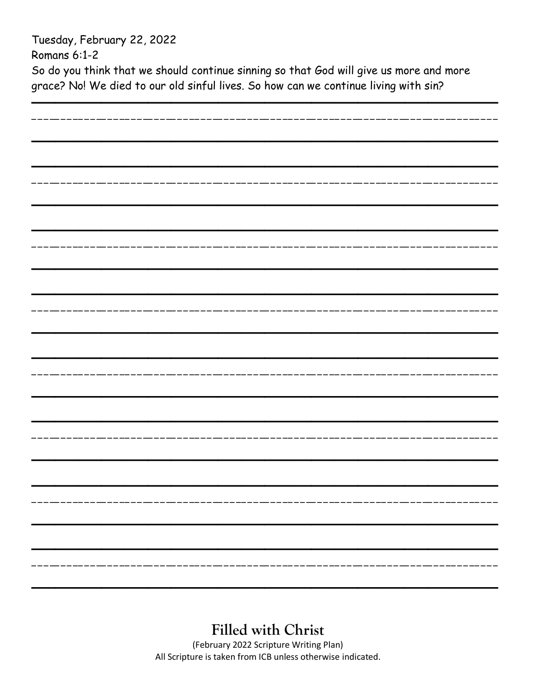Tuesday, February 22, 2022

Romans 6:1-2

So do you think that we should continue sinning so that God will give us more and more grace? No! We died to our old sinful lives. So how can we continue living with sin?

| ---------------- |  |
|------------------|--|
|                  |  |
|                  |  |
|                  |  |
|                  |  |
|                  |  |
|                  |  |
|                  |  |
|                  |  |
|                  |  |
|                  |  |
|                  |  |
|                  |  |
|                  |  |
|                  |  |
| ------------     |  |
|                  |  |
|                  |  |
|                  |  |
|                  |  |
|                  |  |
|                  |  |
|                  |  |
|                  |  |
|                  |  |
|                  |  |
|                  |  |
|                  |  |
|                  |  |
|                  |  |
|                  |  |
|                  |  |
|                  |  |
|                  |  |
|                  |  |
|                  |  |
|                  |  |
|                  |  |
|                  |  |
|                  |  |
|                  |  |
|                  |  |
|                  |  |
|                  |  |
|                  |  |
|                  |  |
|                  |  |
|                  |  |

**Filled with Christ**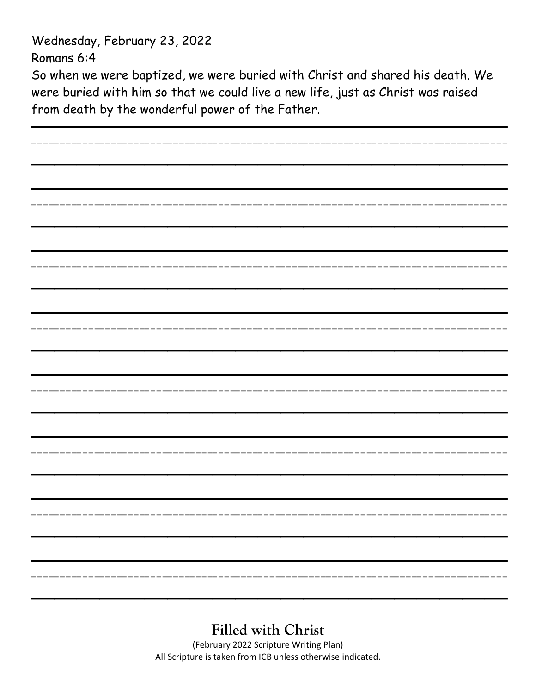Wednesday, February 23, 2022

Romans 6:4

So when we were baptized, we were buried with Christ and shared his death. We were buried with him so that we could live a new life, just as Christ was raised from death by the wonderful power of the Father.

| -----------------     |  |
|-----------------------|--|
|                       |  |
|                       |  |
|                       |  |
|                       |  |
|                       |  |
|                       |  |
| _________________     |  |
|                       |  |
|                       |  |
|                       |  |
|                       |  |
|                       |  |
|                       |  |
|                       |  |
| ----------------      |  |
|                       |  |
|                       |  |
|                       |  |
|                       |  |
|                       |  |
|                       |  |
|                       |  |
|                       |  |
|                       |  |
|                       |  |
|                       |  |
|                       |  |
|                       |  |
|                       |  |
|                       |  |
|                       |  |
|                       |  |
|                       |  |
|                       |  |
|                       |  |
|                       |  |
| --------------------- |  |
|                       |  |
|                       |  |
|                       |  |
|                       |  |

# **Filled with Christ**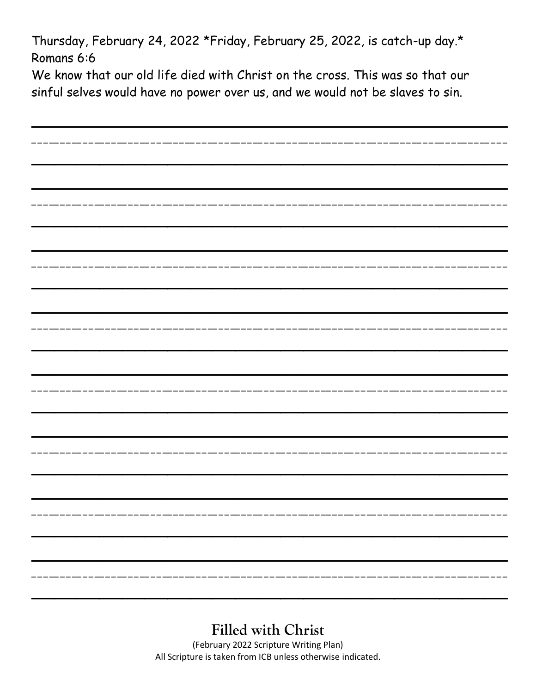Thursday, February 24, 2022 \*Friday, February 25, 2022, is catch-up day.\* Romans 6:6

We know that our old life died with Christ on the cross. This was so that our sinful selves would have no power over us, and we would not be slaves to sin.

| --------------------                                           |  |
|----------------------------------------------------------------|--|
|                                                                |  |
|                                                                |  |
|                                                                |  |
|                                                                |  |
|                                                                |  |
|                                                                |  |
| _________________                                              |  |
|                                                                |  |
|                                                                |  |
|                                                                |  |
|                                                                |  |
|                                                                |  |
|                                                                |  |
| --------------------                                           |  |
|                                                                |  |
|                                                                |  |
|                                                                |  |
|                                                                |  |
|                                                                |  |
|                                                                |  |
|                                                                |  |
|                                                                |  |
|                                                                |  |
|                                                                |  |
|                                                                |  |
|                                                                |  |
|                                                                |  |
|                                                                |  |
|                                                                |  |
|                                                                |  |
|                                                                |  |
|                                                                |  |
|                                                                |  |
|                                                                |  |
|                                                                |  |
|                                                                |  |
|                                                                |  |
|                                                                |  |
|                                                                |  |
|                                                                |  |
|                                                                |  |
|                                                                |  |
|                                                                |  |
| -------------------------<br>___________________<br>__________ |  |
|                                                                |  |
|                                                                |  |
|                                                                |  |
|                                                                |  |

## **Filled with Christ**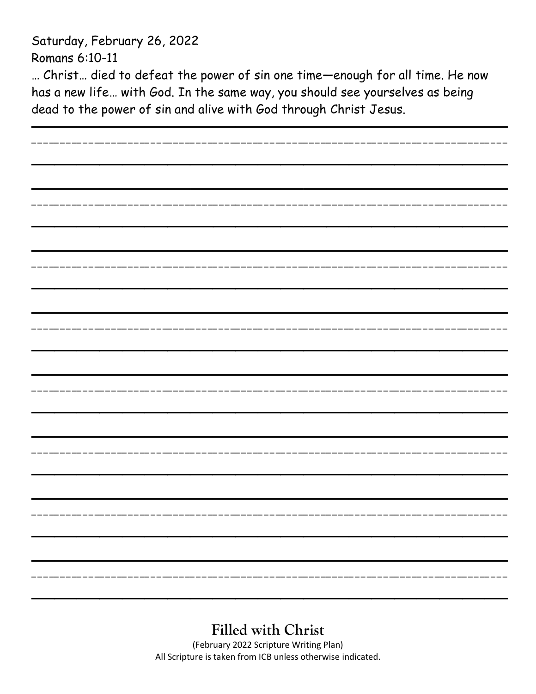Saturday, February 26, 2022 Romans 6:10-11

… Christ… died to defeat the power of sin one time—enough for all time. He now has a new life… with God. In the same way, you should see yourselves as being dead to the power of sin and alive with God through Christ Jesus.

| ---------------          |  |
|--------------------------|--|
|                          |  |
|                          |  |
|                          |  |
|                          |  |
|                          |  |
|                          |  |
| ------------------       |  |
|                          |  |
|                          |  |
|                          |  |
|                          |  |
|                          |  |
|                          |  |
| _________________        |  |
|                          |  |
|                          |  |
|                          |  |
|                          |  |
|                          |  |
|                          |  |
|                          |  |
| ------------------------ |  |
|                          |  |
|                          |  |
|                          |  |
|                          |  |
|                          |  |
|                          |  |
|                          |  |
|                          |  |
|                          |  |
|                          |  |
|                          |  |
|                          |  |
|                          |  |
|                          |  |
|                          |  |
|                          |  |
|                          |  |
|                          |  |
|                          |  |
|                          |  |
|                          |  |
|                          |  |
|                          |  |
|                          |  |
|                          |  |
|                          |  |

**Filled with Christ**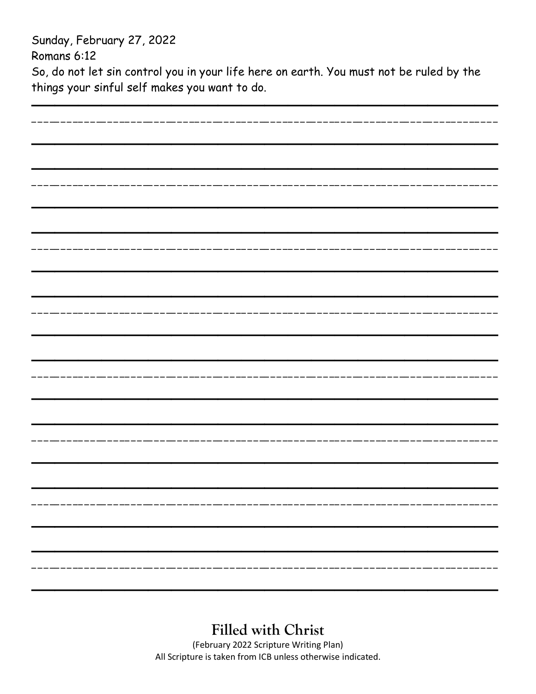Sunday, February 27, 2022 Romans 6:12 So, do not let sin control you in your life here on earth. You must not be ruled by the things your sinful self makes you want to do.

| ----------------------- |  |
|-------------------------|--|
|                         |  |
|                         |  |
|                         |  |
|                         |  |
|                         |  |
|                         |  |
|                         |  |
|                         |  |
|                         |  |
|                         |  |
|                         |  |
|                         |  |
|                         |  |
|                         |  |
|                         |  |
|                         |  |
|                         |  |
|                         |  |
|                         |  |
|                         |  |
|                         |  |
|                         |  |
|                         |  |
|                         |  |
|                         |  |
|                         |  |
|                         |  |
|                         |  |
|                         |  |
|                         |  |
|                         |  |
|                         |  |
|                         |  |
|                         |  |
|                         |  |
|                         |  |
|                         |  |
|                         |  |
|                         |  |
|                         |  |
|                         |  |
|                         |  |
|                         |  |
|                         |  |
|                         |  |
|                         |  |
|                         |  |
|                         |  |
|                         |  |
|                         |  |
|                         |  |

### **Filled with Christ**